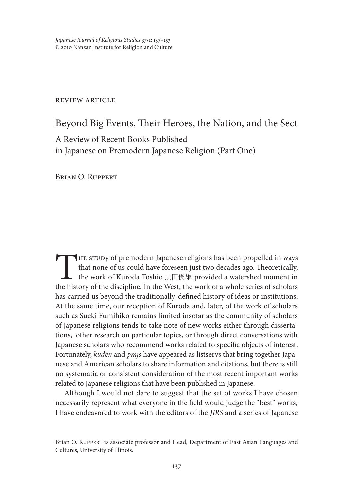*Japanese Journal of Religious Studies* 37/1: 137–153 © 2010 Nanzan Institute for Religion and Culture

#### review article

Beyond Big Events, Their Heroes, the Nation, and the Sect A Review of Recent Books Published in Japanese on Premodern Japanese Religion (Part One)

Brian O. Ruppert

THE STUDY of premodern Japanese religions has been propelled in ways<br>that none of us could have foreseen just two decades ago. Theoretically,<br>the work of Kuroda Toshio 黑田俊雄 provided a watershed moment in<br>the history of the that none of us could have foreseen just two decades ago. Theoretically, the work of Kuroda Toshio 黒田俊雄 provided a watershed moment in the history of the discipline. In the West, the work of a whole series of scholars has carried us beyond the traditionally-defined history of ideas or institutions. At the same time, our reception of Kuroda and, later, of the work of scholars such as Sueki Fumihiko remains limited insofar as the community of scholars of Japanese religions tends to take note of new works either through dissertations, other research on particular topics, or through direct conversations with Japanese scholars who recommend works related to specific objects of interest. Fortunately, *kuden* and *pmjs* have appeared as listservs that bring together Japanese and American scholars to share information and citations, but there is still no systematic or consistent consideration of the most recent important works related to Japanese religions that have been published in Japanese.

Although I would not dare to suggest that the set of works I have chosen necessarily represent what everyone in the field would judge the "best" works, I have endeavored to work with the editors of the *JJRS* and a series of Japanese

Brian O. Ruppert is associate professor and Head, Department of East Asian Languages and Cultures, University of Illinois.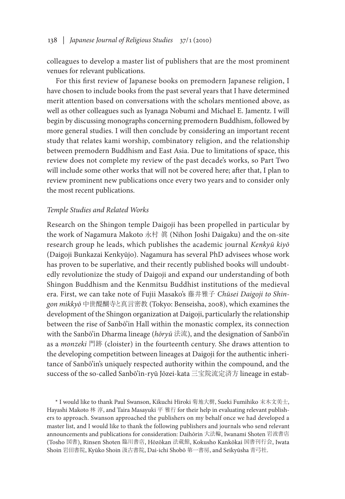colleagues to develop a master list of publishers that are the most prominent venues for relevant publications.

For this first review of Japanese books on premodern Japanese religion, I have chosen to include books from the past several years that I have determined merit attention based on conversations with the scholars mentioned above, as well as other colleagues such as Iyanaga Nobumi and Michael E. Jamentz. I will begin by discussing monographs concerning premodern Buddhism, followed by more general studies. I will then conclude by considering an important recent study that relates kami worship, combinatory religion, and the relationship between premodern Buddhism and East Asia. Due to limitations of space, this review does not complete my review of the past decade's works, so Part Two will include some other works that will not be covered here; after that, I plan to review prominent new publications once every two years and to consider only the most recent publications.

## *Temple Studies and Related Works*

Research on the Shingon temple Daigoji has been propelled in particular by the work of Nagamura Makoto 永村 眞 (Nihon Joshi Daigaku) and the on-site research group he leads, which publishes the academic journal *Kenkyū kiyō* (Daigoji Bunkazai Kenkyūjo). Nagamura has several PhD advisees whose work has proven to be superlative, and their recently published books will undoubtedly revolutionize the study of Daigoji and expand our understanding of both Shingon Buddhism and the Kenmitsu Buddhist institutions of the medieval era. First, we can take note of Fujii Masako's 藤井雅子 *Chūsei Daigoji to Shingon mikkyō* 中世醍醐寺と真言密教 (Tokyo: Benseisha, 2008), which examines the development of the Shingon organization at Daigoji, particularly the relationship between the rise of Sanbō'in Hall within the monastic complex, its connection with the Sanbō'in Dharma lineage (*hōryū* 法流), and the designation of Sanbō'in as a *monzeki* 門跡 (cloister) in the fourteenth century. She draws attention to the developing competition between lineages at Daigoji for the authentic inheritance of Sanbō'in's uniquely respected authority within the compound, and the success of the so-called Sanbō'in-ryū Jōzei-kata 三宝院流定済方 lineage in estab-

\* I would like to thank Paul Swanson, Kikuchi Hiroki 菊地大樹, Sueki Fumihiko 末木文美士, Hayashi Makoto 林 淳, and Taira Masayuki 平 雅行 for their help in evaluating relevant publishers to approach. Swanson approached the publishers on my behalf once we had developed a master list, and I would like to thank the following publishers and journals who send relevant announcements and publications for consideration: Daihōrin 大法輪, Iwanami Shoten 岩波書店 (Tosho 図書), Rinsen Shoten 臨川書店, Hōzōkan 法蔵館, Kokusho Kankōkai 国書刊行会, Iwata Shoin 岩田書院, Kyūko Shoin 汲古書院, Dai-ichi Shobō 第一書房, and Seikyūsha 青弓社.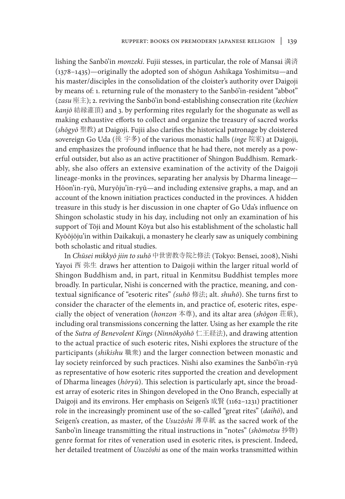lishing the Sanbō'in *monzeki*. Fujii stesses, in particular, the role of Mansai 満済 (1378–1435)—originally the adopted son of shōgun Ashikaga Yoshimitsu—and his master/disciples in the consolidation of the cloister's authority over Daigoji by means of: 1. returning rule of the monastery to the Sanbō'in-resident "abbot" (*zasu* 座主); 2. reviving the Sanbō'in bond-establishing consecration rite (*kechien kanjō* 結縁灌頂) and 3. by performing rites regularly for the shogunate as well as making exhaustive efforts to collect and organize the treasury of sacred works (*shōgyō* 聖教) at Daigoji. Fujii also clarifies the historical patronage by cloistered sovereign Go Uda (後 宇多) of the various monastic halls (*inge* 院家) at Daigoji, and emphasizes the profound influence that he had there, not merely as a powerful outsider, but also as an active practitioner of Shingon Buddhism. Remarkably, she also offers an extensive examination of the activity of the Daigoji lineage-monks in the provinces, separating her analysis by Dharma lineage— Hōon'in-ryū, Muryōju'in-ryū—and including extensive graphs, a map, and an account of the known initiation practices conducted in the provinces. A hidden treasure in this study is her discussion in one chapter of Go Uda's influence on Shingon scholastic study in his day, including not only an examination of his support of Tōji and Mount Kōya but also his establishment of the scholastic hall Kyōōjōju'in within Daikakuji, a monastery he clearly saw as uniquely combining both scholastic and ritual studies.

In *Chūsei mikkyō jiin to suhō* 中世密教寺院と修法 (Tokyo: Bensei, 2008), Nishi Yayoi 西 弥生 draws her attention to Daigoji within the larger ritual world of Shingon Buddhism and, in part, ritual in Kenmitsu Buddhist temples more broadly. In particular, Nishi is concerned with the practice, meaning, and contextual significance of "esoteric rites" *(suhō* 修法; alt. *shuhō*). She turns first to consider the character of the elements in, and practice of, esoteric rites, especially the object of veneration (*honzon* 本尊), and its altar area (*shōgon* 荘厳), including oral transmissions concerning the latter. Using as her example the rite of the *Sutra of Benevolent Kings* (*Ninnōkyōhō* 仁王経法), and drawing attention to the actual practice of such esoteric rites, Nishi explores the structure of the participants (*shikishu* 職衆) and the larger connection between monastic and lay society reinforced by such practices. Nishi also examines the Sanbō'in-ryū as representative of how esoteric rites supported the creation and development of Dharma lineages (*hōryū*). This selection is particularly apt, since the broadest array of esoteric rites in Shingon developed in the Ono Branch, especially at Daigoji and its environs. Her emphasis on Seigen's 成賢 (1162–1231) practitioner role in the increasingly prominent use of the so-called "great rites" (*daihō*), and Seigen's creation, as master, of the *Usuzōshi* 薄草紙 as the sacred work of the Sanbo'in lineage transmitting the ritual instructions in "notes" (*shōmotsu* 抄物) genre format for rites of veneration used in esoteric rites, is prescient. Indeed, her detailed treatment of *Usuzōshi* as one of the main works transmitted within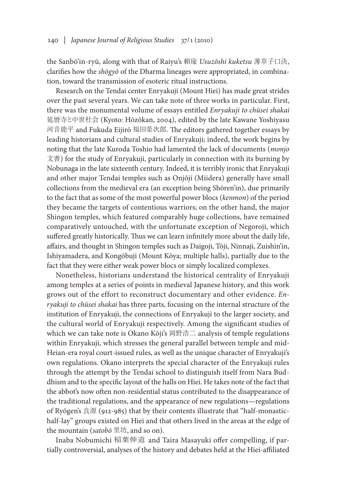the Sanbō'in-ryū, along with that of Raiyu's 頼瑜 *Usuzōshi kuketsu* 薄草子口決, clarifies how the *shōgyō* of the Dharma lineages were appropriated, in combination, toward the transmission of esoteric ritual instructions.

Research on the Tendai center Enryakuji (Mount Hiei) has made great strides over the past several years. We can take note of three works in particular. First, there was the monumental volume of essays entitled *Enryakuji to chūsei shakai*  延暦寺と中世社会 (Kyoto: Hōzōkan, 2004), edited by the late Kawane Yoshiyasu 河音能平 and Fukuda Eijirō 福田榮次郎. The editors gathered together essays by leading historians and cultural studies of Enryakuji; indeed, the work begins by noting that the late Kuroda Toshio had lamented the lack of documents (*monjo*  文書) for the study of Enryakuji, particularly in connection with its burning by Nobunaga in the late sixteenth century. Indeed, it is terribly ironic that Enryakuji and other major Tendai temples such as Onjōji (Miidera) generally have small collections from the medieval era (an exception being Shōren'in), due primarily to the fact that as some of the most powerful power blocs (*kenmon*) of the period they became the targets of contentious warriors; on the other hand, the major Shingon temples, which featured comparably huge collections, have remained comparatively untouched, with the unfortunate exception of Negoroji, which suffered greatly historically. Thus we can learn infinitely more about the daily life, affairs, and thought in Shingon temples such as Daigoji, Tōji, Ninnaji, Zuishin'in, Ishiyamadera, and Kongōbuji (Mount Kōya; multiple halls), partially due to the fact that they were either weak power blocs or simply localized complexes.

Nonetheless, historians understand the historical centrality of Enryakuji among temples at a series of points in medieval Japanese history, and this work grows out of the effort to reconstruct documentary and other evidence. *Enryakuji to chūsei shakai* has three parts, focusing on the internal structure of the institution of Enryakuji, the connections of Enryakuji to the larger society, and the cultural world of Enryakuji respectively. Among the significant studies of which we can take note is Okano Kōji's 岡野浩二 analysis of temple regulations within Enryakuji, which stresses the general parallel between temple and mid-Heian-era royal court-issued rules, as well as the unique character of Enryakuji's own regulations. Okano interprets the special character of the Enryakuji rules through the attempt by the Tendai school to distinguish itself from Nara Buddhism and to the specific layout of the halls on Hiei. He takes note of the fact that the abbot's now often non-residential status contributed to the disappearance of the traditional regulations, and the appearance of new regulations—regulations of Ryōgen's 良源 (912-985) that by their contents illustrate that "half-monastichalf-lay" groups existed on Hiei and that others lived in the areas at the edge of the mountain (*satobō* 里坊, and so on).

Inaba Nobumichi 稲葉伸道 and Taira Masayuki offer compelling, if partially controversial, analyses of the history and debates held at the Hiei-affiliated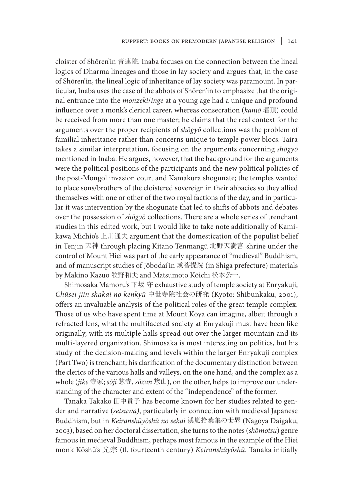cloister of Shōren'in 青蓮院. Inaba focuses on the connection between the lineal logics of Dharma lineages and those in lay society and argues that, in the case of Shōren'in, the lineal logic of inheritance of lay society was paramount. In particular, Inaba uses the case of the abbots of Shōren'in to emphasize that the original entrance into the *monzeki*/*inge* at a young age had a unique and profound influence over a monk's clerical career, whereas consecration (*kanjō* 灌頂) could be received from more than one master; he claims that the real context for the arguments over the proper recipients of *shōgyō* collections was the problem of familial inheritance rather than concerns unique to temple power blocs. Taira takes a similar interpretation, focusing on the arguments concerning *shōgyō*  mentioned in Inaba. He argues, however, that the background for the arguments were the political positions of the participants and the new political policies of the post-Mongol invasion court and Kamakura shogunate; the temples wanted to place sons/brothers of the cloistered sovereign in their abbacies so they allied themselves with one or other of the two royal factions of the day, and in particular it was intervention by the shogunate that led to shifts of abbots and debates over the possession of *shōgyō* collections. There are a whole series of trenchant studies in this edited work, but I would like to take note additionally of Kamikawa Michio's 上川通夫 argument that the domestication of the populist belief in Tenjin 天神 through placing Kitano Tenmangū 北野天満宮 shrine under the control of Mount Hiei was part of the early appearance of "medieval" Buddhism, and of manuscript studies of Jōbodai'in 成菩提院 (in Shiga prefecture) materials by Makino Kazuo 牧野和夫 and Matsumoto Kōichi 松本公一.

Shimosaka Mamoru's 下坂 守 exhaustive study of temple society at Enryakuji, *Chūsei jiin shakai no kenkyū* 中世寺院社会の研究 (Kyoto: Shibunkaku, 2001), offers an invaluable analysis of the political roles of the great temple complex. Those of us who have spent time at Mount Kōya can imagine, albeit through a refracted lens, what the multifaceted society at Enryakuji must have been like originally, with its multiple halls spread out over the larger mountain and its multi-layered organization. Shimosaka is most interesting on politics, but his study of the decision-making and levels within the larger Enryakuji complex (Part Two) is trenchant; his clarification of the documentary distinction between the clerics of the various halls and valleys, on the one hand, and the complex as a whole (*jike* 寺家; *sōji* 惣寺, *sōzan* 惣山), on the other, helps to improve our understanding of the character and extent of the "independence" of the former.

Tanaka Takako 田中貴子 has become known for her studies related to gender and narrative (*setsuwa)*, particularly in connection with medieval Japanese Buddhism, but in *Keiranshūyōshū no sekai* 渓嵐拾葉集の世界 (Nagoya Daigaku, 2003), based on her doctoral dissertation, she turns to the notes (*shōmotsu*) genre famous in medieval Buddhism, perhaps most famous in the example of the Hiei monk Kōshū's 光宗 (fl. fourteenth century) *Keiranshūyōshū*. Tanaka initially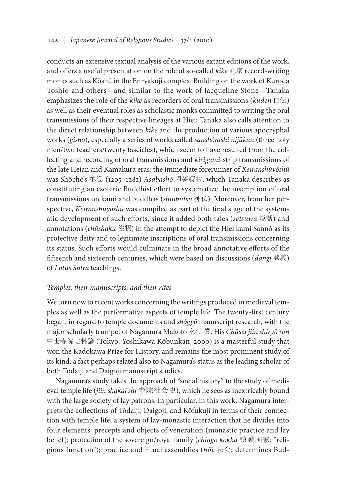conducts an extensive textual analysis of the various extant editions of the work, and offers a useful presentation on the role of so-called *kike* 記家 record-writing monks such as Kōshū in the Enryakuji complex. Building on the work of Kuroda Toshio and others—and similar to the work of Jacqueline Stone—Tanaka emphasizes the role of the *kike* as recorders of oral transmissions (*kuden* 口伝) as well as their eventual roles as scholastic monks committed to writing the oral transmissions of their respective lineages at Hiei; Tanaka also calls attention to the direct relationship between *kike* and the production of various apocryphal works (*gisho*), especially a series of works called *sanshōnishi nijūkan* (three holy men/two teachers/twenty fascicles), which seem to have resulted from the collecting and recording of oral transmissions and *kirigami*-strip transmissions of the late Heian and Kamakura eras; the immediate forerunner of *Keiranshūyōshū* was Shōchō's 承澄 (1205–1282) *Asabashō* 阿娑縛抄, which Tanaka describes as constituting an esoteric Buddhist effort to systematize the inscription of oral transmissions on kami and buddhas (*shinbutsu* 神仏). Moreover, from her perspective, *Keiranshūyōshū* was compiled as part of the final stage of the systematic development of such efforts, since it added both tales (*setsuwa* 説話) and annotations (*chūshaku* 注釈) in the attempt to depict the Hiei kami Sannō as its protective deity and to legitimate inscriptions of oral transmissions concerning its status. Such efforts would culminate in the broad annotative efforts of the fifteenth and sixteenth centuries, which were based on discussions (*dangi* 談義) of *Lotus Sutra* teachings.

## *Temples, their manuscripts, and their rites*

We turn now to recent works concerning the writings produced in medieval temples as well as the performative aspects of temple life. The twenty-first century began, in regard to temple documents and *shōgyō* manuscript research, with the major scholarly trumpet of Nagamura Makoto 永村 眞. His *Chūsei jiin shiryō ron* 中世寺院史料論 (Tokyo: Yoshikawa Kōbunkan, 2000) is a masterful study that won the Kadokawa Prize for History, and remains the most prominent study of its kind, a fact perhaps related also to Nagamura's status as the leading scholar of both Tōdaiji and Daigoji manuscript studies.

Nagamura's study takes the approach of "social history" to the study of medieval temple life (*jiin shakai shi* 寺院社会史), which he sees as inextricably bound with the large society of lay patrons. In particular, in this work, Nagamura interprets the collections of Tōdaiji, Daigoji, and Kōfukuji in terms of their connection with temple life, a system of lay-monastic interaction that he divides into four elements: precepts and objects of veneration (monastic practice and lay belief); protection of the sovereign/royal family (*chingo kokka* 鎮護国家; "religious function"); practice and ritual assemblies (*hō'e* 法会; determines Bud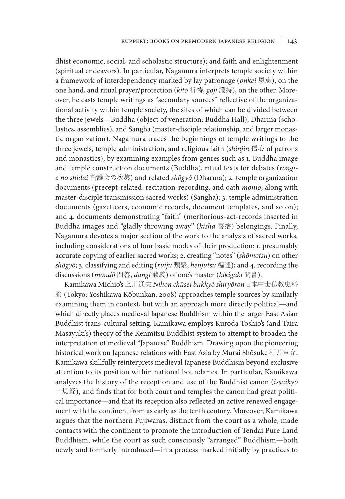dhist economic, social, and scholastic structure); and faith and enlightenment (spiritual endeavors). In particular, Nagamura interprets temple society within a framework of interdependency marked by lay patronage (*onkei* 恩恵), on the one hand, and ritual prayer/protection (*kitō* 祈祷, *goji* 護持), on the other. Moreover, he casts temple writings as "secondary sources" reflective of the organizational activity within temple society, the sites of which can be divided between the three jewels—Buddha (object of veneration; Buddha Hall), Dharma (scholastics, assemblies), and Sangha (master-disciple relationship, and larger monastic organization). Nagamura traces the beginnings of temple writings to the three jewels, temple administration, and religious faith (*shinjin* 信心 of patrons and monastics), by examining examples from genres such as 1. Buddha image and temple construction documents (Buddha), ritual texts for debates (*rongie no shidai* 論議会の次第) and related *shōgyō* (Dharma); 2. temple organization documents (precept-related, recitation-recording, and oath *monjo*, along with master-disciple transmission sacred works) (Sangha); 3. temple administration documents (gazetteers, economic records, document templates, and so on); and 4. documents demonstrating "faith" (meritorious-act-records inserted in Buddha images and "gladly throwing away" (*kisha* 喜捨) belongings. Finally, Nagamura devotes a major section of the work to the analysis of sacred works, including considerations of four basic modes of their production: 1. presumably accurate copying of earlier sacred works; 2. creating "notes" (*shōmotsu*) on other *shōgyō*; 3. classifying and editing (*ruiju* 類聚, *henjutsu* 編述); and 4. recording the discussions (*mondō* 問答, *dangi* 談義) of one's master (*kikigaki* 聞書).

Kamikawa Michio's 上川通夫 *Nihon chūsei bukkyō shiryōron*日本中世仏教史料 論 (Tokyo: Yoshikawa Kōbunkan, 2008) approaches temple sources by similarly examining them in context, but with an approach more directly political—and which directly places medieval Japanese Buddhism within the larger East Asian Buddhist trans-cultural setting. Kamikawa employs Kuroda Toshio's (and Taira Masayuki's) theory of the Kenmitsu Buddhist system to attempt to broaden the interpretation of medieval "Japanese" Buddhism. Drawing upon the pioneering historical work on Japanese relations with East Asia by Murai Shōsuke 村井章介, Kamikawa skillfully reinterprets medieval Japanese Buddhism beyond exclusive attention to its position within national boundaries. In particular, Kamikawa analyzes the history of the reception and use of the Buddhist canon (*issaikyō*  一切経), and finds that for both court and temples the canon had great political importance—and that its reception also reflected an active renewed engagement with the continent from as early as the tenth century. Moreover, Kamikawa argues that the northern Fujiwaras, distinct from the court as a whole, made contacts with the continent to promote the introduction of Tendai Pure Land Buddhism, while the court as such consciously "arranged" Buddhism—both newly and formerly introduced—in a process marked initially by practices to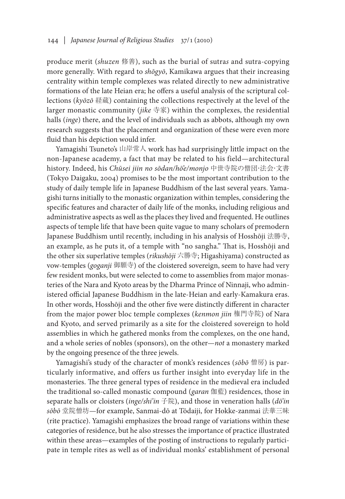produce merit (*shuzen* 修善), such as the burial of sutra*s* and sutra-copying more generally. With regard to *shōgyō*, Kamikawa argues that their increasing centrality within temple complexes was related directly to new administrative formations of the late Heian era; he offers a useful analysis of the scriptural collections (*kyōzō* 経蔵) containing the collections respectively at the level of the larger monastic community (*jike* 寺家) within the complexes, the residential halls (*inge*) there, and the level of individuals such as abbots, although my own research suggests that the placement and organization of these were even more fluid than his depiction would infer.

Yamagishi Tsuneto's 山岸常人 work has had surprisingly little impact on the non-Japanese academy, a fact that may be related to his field—architectural history. Indeed, his *Chūsei jiin no sōdan/hō'e/monjo* 中世寺院の僧団・法会・文書 (Tokyo Daigaku, 2004) promises to be the most important contribution to the study of daily temple life in Japanese Buddhism of the last several years. Yamagishi turns initially to the monastic organization within temples, considering the specific features and character of daily life of the monks, including religious and administrative aspects as well as the places they lived and frequented. He outlines aspects of temple life that have been quite vague to many scholars of premodern Japanese Buddhism until recently, including in his analysis of Hosshōji 法勝寺, an example, as he puts it, of a temple with "no sangha." That is, Hosshōji and the other six superlative temples (*rikushōji* 六勝寺; Higashiyama) constructed as vow-temples (*goganji* 御願寺) of the cloistered sovereign, seem to have had very few resident monks, but were selected to come to assemblies from major monasteries of the Nara and Kyoto areas by the Dharma Prince of Ninnaji, who administered official Japanese Buddhism in the late-Heian and early-Kamakura eras. In other words, Hosshōji and the other five were distinctly different in character from the major power bloc temple complexes (*kenmon jiin* 権門寺院) of Nara and Kyoto, and served primarily as a site for the cloistered sovereign to hold assemblies in which he gathered monks from the complexes, on the one hand, and a whole series of nobles (sponsors), on the other—*not* a monastery marked by the ongoing presence of the three jewels.

Yamagishi's study of the character of monk's residences (*sōbō* 僧房) is particularly informative, and offers us further insight into everyday life in the monasteries. The three general types of residence in the medieval era included the traditional so-called monastic compound (*garan* 伽藍) residences, those in separate halls or cloisters (*inge/shi'in* 子院), and those in veneration halls (*dō'in sōbō* 堂院僧坊—for example, Sanmai-dō at Tōdaiji, for Hokke-zanmai 法華三昧 (rite practice). Yamagishi emphasizes the broad range of variations within these categories of residence, but he also stresses the importance of practice illustrated within these areas—examples of the posting of instructions to regularly participate in temple rites as well as of individual monks' establishment of personal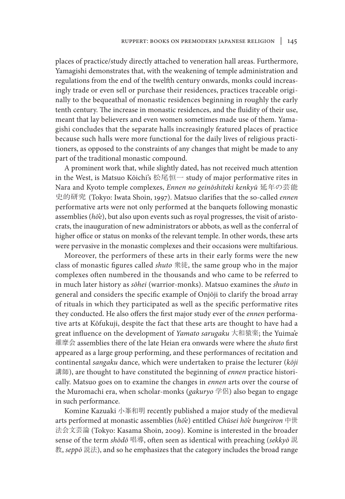places of practice/study directly attached to veneration hall areas. Furthermore, Yamagishi demonstrates that, with the weakening of temple administration and regulations from the end of the twelfth century onwards, monks could increasingly trade or even sell or purchase their residences, practices traceable originally to the bequeathal of monastic residences beginning in roughly the early tenth century. The increase in monastic residences, and the fluidity of their use, meant that lay believers and even women sometimes made use of them. Yamagishi concludes that the separate halls increasingly featured places of practice because such halls were more functional for the daily lives of religious practitioners, as opposed to the constraints of any changes that might be made to any part of the traditional monastic compound.

A prominent work that, while slightly dated, has not received much attention in the West, is Matsuo Kōichi's 松尾恒一 study of major performative rites in Nara and Kyoto temple complexes, *Ennen no geinōshiteki kenkyū* 延年の芸能 史的研究 (Tokyo: Iwata Shoin, 1997). Matsuo clarifies that the so-called *ennen* performative arts were not only performed at the banquets following monastic assemblies (*hō'e*), but also upon events such as royal progresses, the visit of aristocrats, the inauguration of new administrators or abbots, as well as the conferral of higher office or status on monks of the relevant temple. In other words, these arts were pervasive in the monastic complexes and their occasions were multifarious.

Moreover, the performers of these arts in their early forms were the new class of monastic figures called *shuto* 衆徒, the same group who in the major complexes often numbered in the thousands and who came to be referred to in much later history as *sōhei* (warrior-monks). Matsuo examines the *shuto* in general and considers the specific example of Onjōji to clarify the broad array of rituals in which they participated as well as the specific performative rites they conducted. He also offers the first major study ever of the *ennen* performative arts at Kōfukuji, despite the fact that these arts are thought to have had a great influence on the development of *Yamato sarugaku* 大和猿楽; the Yuima'e 維摩会 assemblies there of the late Heian era onwards were where the *shuto* first appeared as a large group performing, and these performances of recitation and continental *sangaku* dance, which were undertaken to praise the lecturer (*kōji*  講師), are thought to have constituted the beginning of *ennen* practice historically. Matsuo goes on to examine the changes in *ennen* arts over the course of the Muromachi era, when scholar-monks (*gakuryo* 学侶) also began to engage in such performance.

Komine Kazuaki 小峯和明 recently published a major study of the medieval arts performed at monastic assemblies (*hō'e*) entitled *Chūsei hō'e bungeiron* 中世 法会文芸論 (Tokyo: Kasama Shoin, 2009). Komine is interested in the broader sense of the term *shōdō* 唱導, often seen as identical with preaching (*sekkyō* 説 教, *seppō* 説法), and so he emphasizes that the category includes the broad range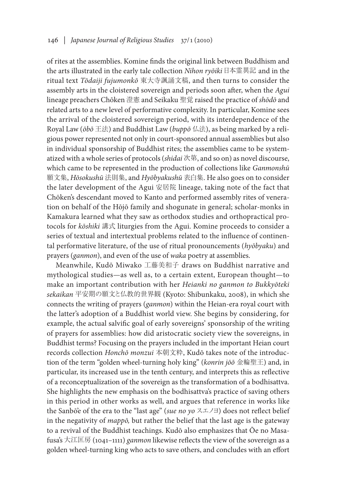of rites at the assemblies. Komine finds the original link between Buddhism and the arts illustrated in the early tale collection *Nihon ryōiki* 日本霊異記 and in the ritual text *Tōdaiji fujumonkō* 東大寺諷誦文稿, and then turns to consider the assembly arts in the cloistered sovereign and periods soon after, when the *Agui* lineage preachers Chōken 澄憲 and Seikaku 聖覚 raised the practice of *shōdō* and related arts to a new level of performative complexity. In particular, Komine sees the arrival of the cloistered sovereign period, with its interdependence of the Royal Law (*ōbō* 王法) and Buddhist Law (*buppō* 仏法), as being marked by a religious power represented not only in court-sponsored annual assemblies but also in individual sponsorship of Buddhist rites; the assemblies came to be systematized with a whole series of protocols (*shidai* 次第, and so on) as novel discourse, which came to be represented in the production of collections like *Ganmonshū*  願文集, *Hōsokushū* 法則集, and *Hyōbyakushū* 表白集. He also goes on to consider the later development of the Agui 安居院 lineage, taking note of the fact that Chōken's descendant moved to Kanto and performed assembly rites of veneration on behalf of the Hōjō family and shogunate in general; scholar-monks in Kamakura learned what they saw as orthodox studies and orthopractical protocols for *kōshiki* 講式 liturgies from the Agui. Komine proceeds to consider a series of textual and intertextual problems related to the influence of continental performative literature, of the use of ritual pronouncements (*hyōbyaku*) and prayers (*ganmon*), and even of the use of *waka* poetry at assemblies.

Meanwhile, Kudō Miwako 工藤美和子 draws on Buddhist narrative and mythological studies—as well as, to a certain extent, European thought—to make an important contribution with her *Heianki no ganmon to Bukkyōteki sekaikan* 平安期の願文と仏教的世界観 (Kyoto: Shibunkaku, 2008), in which she connects the writing of prayers (*ganmon*) within the Heian-era royal court with the latter's adoption of a Buddhist world view. She begins by considering, for example, the actual salvific goal of early sovereigns' sponsorship of the writing of prayers for assemblies: how did aristocratic society view the sovereigns, in Buddhist terms? Focusing on the prayers included in the important Heian court records collection *Honchō monzui* 本朝文粋, Kudō takes note of the introduction of the term "golden wheel-turning holy king" (*konrin jōō* 金輪聖王) and, in particular, its increased use in the tenth century, and interprets this as reflective of a reconceptualization of the sovereign as the transformation of a bodhisattva. She highlights the new emphasis on the bodhisattva's practice of saving others in this period in other works as well, and argues that reference in works like the Sanbō'e of the era to the "last age" (*sue no yo* スエノヨ) does not reflect belief in the negativity of *mappō,* but rather the belief that the last age is the gateway to a revival of the Buddhist teachings. Kudō also emphasizes that Ōe no Masafusa's 大江匡房 (1041–1111) *ganmon* likewise reflects the view of the sovereign as a golden wheel-turning king who acts to save others, and concludes with an effort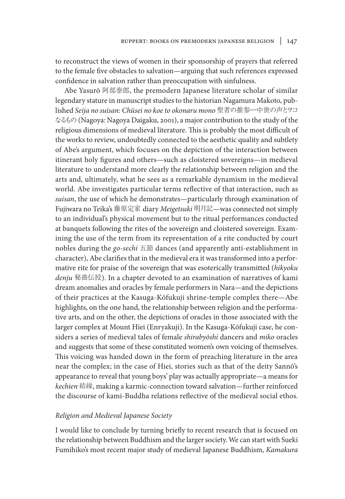to reconstruct the views of women in their sponsorship of prayers that referred to the female five obstacles to salvation—arguing that such references expressed confidence in salvation rather than preoccupation with sinfulness.

Abe Yasurō 阿部泰郎, the premodern Japanese literature scholar of similar legendary stature in manuscript studies to the historian Nagamura Makoto, published *Seija no suisan: Chūsei no koe to okonaru mono* 聖者の推参―中世の声とヲコ なるもの (Nagoya: Nagoya Daigaku, 2001), a major contribution to the study of the religious dimensions of medieval literature. This is probably the most difficult of the works to review, undoubtedly connected to the aesthetic quality and subtlety of Abe's argument, which focuses on the depiction of the interaction between itinerant holy figures and others—such as cloistered sovereigns—in medieval literature to understand more clearly the relationship between religion and the arts and, ultimately, what he sees as a remarkable dynamism in the medieval world. Abe investigates particular terms reflective of that interaction, such as *suisan*, the use of which he demonstrates—particularly through examination of Fujiwara no Teika's 藤原定家 diary *Meigetsuki* 明月記—was connected not simply to an individual's physical movement but to the ritual performances conducted at banquets following the rites of the sovereign and cloistered sovereign. Examining the use of the term from its representation of a rite conducted by court nobles during the *go-sechi* 五節 dances (and apparently anti-establishment in character), Abe clarifies that in the medieval era it was transformed into a performative rite for praise of the sovereign that was esoterically transmitted (*hikyoku denju* 秘曲伝授). In a chapter devoted to an examination of narratives of kami dream anomalies and oracles by female performers in Nara—and the depictions of their practices at the Kasuga-Kōfukuji shrine-temple complex there—Abe highlights, on the one hand, the relationship between religion and the performative arts, and on the other, the depictions of oracles in those associated with the larger complex at Mount Hiei (Enryakuji). In the Kasuga-Kōfukuji case, he considers a series of medieval tales of female *shirabyōshi* dancers and *miko* oracles and suggests that some of these constituted women's own voicing of themselves. This voicing was handed down in the form of preaching literature in the area near the complex; in the case of Hiei, stories such as that of the deity Sannō's appearance to reveal that young boys' play was actually appropriate—a means for *kechien* 結縁, making a karmic-connection toward salvation—further reinforced the discourse of kami-Buddha relations reflective of the medieval social ethos.

#### *Religion and Medieval Japanese Society*

I would like to conclude by turning briefly to recent research that is focused on the relationship between Buddhism and the larger society. We can start with Sueki Fumihiko's most recent major study of medieval Japanese Buddhism, *Kamakura*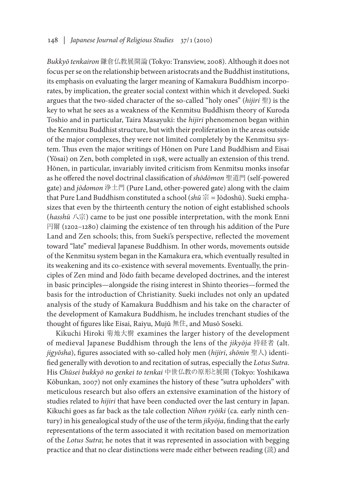*Bukkyō tenkairon* 鎌倉仏教展開論 (Tokyo: Transview, 2008). Although it does not focus per se on the relationship between aristocrats and the Buddhist institutions, its emphasis on evaluating the larger meaning of Kamakura Buddhism incorporates, by implication, the greater social context within which it developed. Sueki argues that the two-sided character of the so-called "holy ones" (*hijiri* 聖) is the key to what he sees as a weakness of the Kenmitsu Buddhism theory of Kuroda Toshio and in particular, Taira Masayuki: the *hijiri* phenomenon began within the Kenmitsu Buddhist structure, but with their proliferation in the areas outside of the major complexes, they were not limited completely by the Kenmitsu system. Thus even the major writings of Hōnen on Pure Land Buddhism and Eisai (Yōsai) on Zen, both completed in 1198, were actually an extension of this trend. Hōnen, in particular, invariably invited criticism from Kenmitsu monks insofar as he offered the novel doctrinal classification of *shōdōmon* 聖道門 (self-powered gate) and *jōdomon* 浄土門 (Pure Land, other-powered gate) along with the claim that Pure Land Buddhism constituted a school (*shū* 宗 = Jōdoshū). Sueki emphasizes that even by the thirteenth century the notion of eight established schools (*hasshū* 八宗) came to be just one possible interpretation, with the monk Enni 円爾 (1202–1280) claiming the existence of ten through his addition of the Pure Land and Zen schools; this, from Sueki's perspective, reflected the movement toward "late" medieval Japanese Buddhism. In other words, movements outside of the Kenmitsu system began in the Kamakura era, which eventually resulted in its weakening and its co-existence with several movements. Eventually, the principles of Zen mind and Jōdo faith became developed doctrines, and the interest in basic principles—alongside the rising interest in Shinto theories—formed the basis for the introduction of Christianity. Sueki includes not only an updated analysis of the study of Kamakura Buddhism and his take on the character of the development of Kamakura Buddhism, he includes trenchant studies of the thought of figures like Eisai, Raiyu, Mujū 無住, and Musō Soseki.

Kikuchi Hiroki 菊地大樹 examines the larger history of the development of medieval Japanese Buddhism through the lens of the *jikyōja* 持経者 (alt. *jigyōsha*), figures associated with so-called holy men (*hijiri*, *shōnin* 聖人) identified generally with devotion to and recitation of sutras, especially the *Lotus Sutra*. His *Chūsei bukkyō no genkei to tenkai* 中世仏教の原形と展開 (Tokyo: Yoshikawa Kōbunkan, 2007) not only examines the history of these "sutra upholders" with meticulous research but also offers an extensive examination of the history of studies related to *hijiri* that have been conducted over the last century in Japan. Kikuchi goes as far back as the tale collection *Nihon ryōiki* (ca. early ninth century) in his genealogical study of the use of the term *jikyōja*, finding that the early representations of the term associated it with recitation based on memorization of the *Lotus Sutra*; he notes that it was represented in association with begging practice and that no clear distinctions were made either between reading (読) and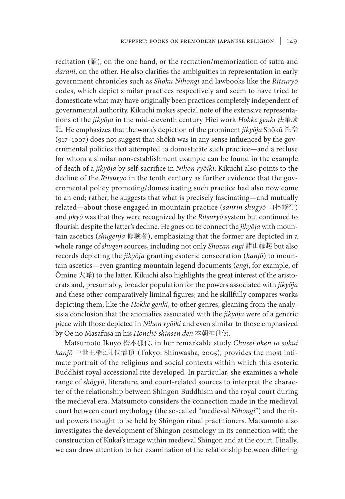recitation (誦), on the one hand, or the recitation/memorization of sutra and *darani*, on the other. He also clarifies the ambiguities in representation in early government chronicles such as *Shoku Nihongi* and lawbooks like the *Ritsuryō* codes, which depict similar practices respectively and seem to have tried to domesticate what may have originally been practices completely independent of governmental authority. Kikuchi makes special note of the extensive representations of the *jikyōja* in the mid-eleventh century Hiei work *Hokke genki* 法華験 記. He emphasizes that the work's depiction of the prominent *jikyōja* Shōkū 性空 (917–1007) does not suggest that Shōkū was in any sense influenced by the governmental policies that attempted to domesticate such practice—and a recluse for whom a similar non-establishment example can be found in the example of death of a *jikyōja* by self-sacrifice in *Nihon ryōiki*. Kikuchi also points to the decline of the *Ritsuryō* in the tenth century as further evidence that the governmental policy promoting/domesticating such practice had also now come to an end; rather, he suggests that what is precisely fascinating—and mutually related—about those engaged in mountain practice (*sanrin shugyō* 山林修行) and *jikyō* was that they were recognized by the *Ritsuryō* system but continued to flourish despite the latter's decline. He goes on to connect the *jikyōja* with mountain ascetics (*shugenja* 修験者), emphasizing that the former are depicted in a whole range of *shugen* sources, including not only *Shozan engi* 諸山縁起 but also records depicting the *jikyōja* granting esoteric consecration (*kanjō*) to mountain ascetics—even granting mountain legend documents (*engi*, for example, of  $\overline{\text{O}}$ mine  $\overline{\text{C}}$  to the latter. Kikuchi also highlights the great interest of the aristocrats and, presumably, broader population for the powers associated with *jikyōja*  and these other comparatively liminal figures; and he skillfully compares works depicting them, like the *Hokke genki*, to other genres, gleaning from the analysis a conclusion that the anomalies associated with the *jikyōja* were of a generic piece with those depicted in *Nihon ryōiki* and even similar to those emphasized by Ōe no Masafusa in his *Honchō shinsen den* 本朝神仙伝.

Matsumoto Ikuyo 松本郁代, in her remarkable study *Chūsei ōken to sokui kanjō* 中世王権と即位灌頂 (Tokyo: Shinwasha, 2005), provides the most intimate portrait of the religious and social contexts within which this esoteric Buddhist royal accessional rite developed. In particular, she examines a whole range of *shōgyō*, literature, and court-related sources to interpret the character of the relationship between Shingon Buddhism and the royal court during the medieval era. Matsumoto considers the connection made in the medieval court between court mythology (the so-called "medieval *Nihongi*") and the ritual powers thought to be held by Shingon ritual practitioners. Matsumoto also investigates the development of Shingon cosmology in its connection with the construction of Kūkai's image within medieval Shingon and at the court. Finally, we can draw attention to her examination of the relationship between differing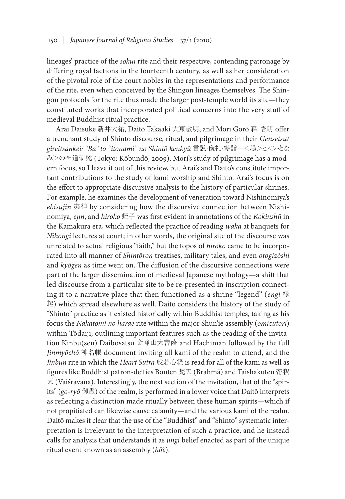lineages' practice of the *sokui* rite and their respective, contending patronage by differing royal factions in the fourteenth century, as well as her consideration of the pivotal role of the court nobles in the representations and performance of the rite, even when conceived by the Shingon lineages themselves. The Shingon protocols for the rite thus made the larger post-temple world its site—they constituted works that incorporated political concerns into the very stuff of medieval Buddhist ritual practice.

Arai Daisuke 新井大祐, Daitō Takaaki 大東敬明, and Mori Gorō 森 悟朗 offer a trenchant study of Shinto discourse, ritual, and pilgrimage in their *Gensetsu/ girei/sankei: "Ba" to "itonami" no Shintō kenkyū* 言説・儀礼・参詣―<場>と<いとな み>の神道研究 (Tokyo: Kōbundō, 2009). Mori's study of pilgrimage has a modern focus, so I leave it out of this review, but Arai's and Daitō's constitute important contributions to the study of kami worship and Shinto. Arai's focus is on the effort to appropriate discursive analysis to the history of particular shrines. For example, he examines the development of veneration toward Nishinomiya's *ebisujin* 夷神 by considering how the discursive connection between Nishinomiya, *ejin*, and *hiroko* 蛭子 was first evident in annotations of the *Kokinshū* in the Kamakura era, which reflected the practice of reading *waka* at banquets for *Nihongi* lectures at court; in other words, the original site of the discourse was unrelated to actual religious "faith," but the topos of *hiroko* came to be incorporated into all manner of *Shintōron* treatises, military tales, and even *otogizōshi* and *kyōgen* as time went on. The diffusion of the discursive connections were part of the larger dissemination of medieval Japanese mythology—a shift that led discourse from a particular site to be re-presented in inscription connecting it to a narrative place that then functioned as a shrine "legend" (*engi* 縁 起) which spread elsewhere as well. Daitō considers the history of the study of "Shinto" practice as it existed historically within Buddhist temples, taking as his focus the *Nakatomi no harae* rite within the major Shun'ie assembly (*omizutori*) within Tōdaiji, outlining important features such as the reading of the invitation Kinbu(sen) Daibosatsu 金峰山大菩薩 and Hachiman followed by the full *Jinmyōchō* 神名帳 document inviting all kami of the realm to attend, and the *Jinbun* rite in which the *Heart Sutra* 般若心経 is read for all of the kami as well as figures like Buddhist patron-deities Bonten 梵天 (Brahmā) and Taishakuten 帝釈  $\overline{\mathcal{F}}$  (Vaiśravana). Interestingly, the next section of the invitation, that of the "spirits" (*go-ryō* 御霊) of the realm, is performed in a lower voice that Daitō interprets as reflecting a distinction made ritually between these human spirits—which if not propitiated can likewise cause calamity—and the various kami of the realm. Daitō makes it clear that the use of the "Buddhist" and "Shinto" systematic interpretation is irrelevant to the interpretation of such a practice, and he instead calls for analysis that understands it as *jingi* belief enacted as part of the unique ritual event known as an assembly (*hō'e*).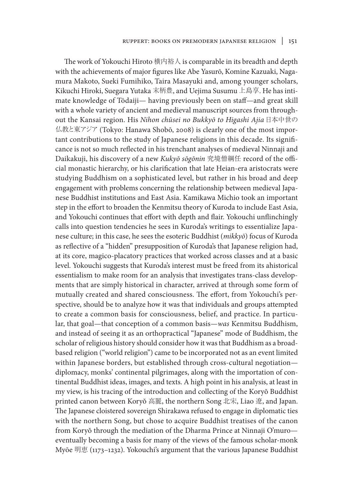The work of Yokouchi Hiroto 横内裕人 is comparable in its breadth and depth with the achievements of major figures like Abe Yasurō, Komine Kazuaki, Nagamura Makoto, Sueki Fumihiko, Taira Masayuki and, among younger scholars, Kikuchi Hiroki, Suegara Yutaka 末柄豊, and Uejima Susumu 上島享. He has intimate knowledge of Tōdaiji— having previously been on staff—and great skill with a whole variety of ancient and medieval manuscript sources from throughout the Kansai region. His *Nihon chūsei no Bukkyō to Higashi Ajia* 日本中世の 仏教と東アジア (Tokyo: Hanawa Shobō, 2008) is clearly one of the most important contributions to the study of Japanese religions in this decade. Its significance is not so much reflected in his trenchant analyses of medieval Ninnaji and Daikakuji, his discovery of a new *Kukyō sōgōnin* 究境僧綱任 record of the official monastic hierarchy, or his clarification that late Heian-era aristocrats were studying Buddhism on a sophisticated level, but rather in his broad and deep engagement with problems concerning the relationship between medieval Japanese Buddhist institutions and East Asia. Kamikawa Michio took an important step in the effort to broaden the Kenmitsu theory of Kuroda to include East Asia, and Yokouchi continues that effort with depth and flair. Yokouchi unflinchingly calls into question tendencies he sees in Kuroda's writings to essentialize Japanese culture; in this case, he sees the esoteric Buddhist (*mikkyō*) focus of Kuroda as reflective of a "hidden" presupposition of Kuroda's that Japanese religion had, at its core, magico-placatory practices that worked across classes and at a basic level. Yokouchi suggests that Kuroda's interest must be freed from its ahistorical essentialism to make room for an analysis that investigates trans-class developments that are simply historical in character, arrived at through some form of mutually created and shared consciousness. The effort, from Yokouchi's perspective, should be to analyze how it was that individuals and groups attempted to create a common basis for consciousness, belief, and practice. In particular, that goal—that conception of a common basis—*was* Kenmitsu Buddhism, and instead of seeing it as an orthopractical "Japanese" mode of Buddhism, the scholar of religious history should consider how it was that Buddhism as a broadbased religion ("world religion") came to be incorporated not as an event limited within Japanese borders, but established through cross-cultural negotiation diplomacy, monks' continental pilgrimages, along with the importation of continental Buddhist ideas, images, and texts. A high point in his analysis, at least in my view, is his tracing of the introduction and collecting of the Koryŏ Buddhist printed canon between Koryŏ 高麗, the northern Song 北宋, Liao 遼, and Japan. The Japanese cloistered sovereign Shirakawa refused to engage in diplomatic ties with the northern Song, but chose to acquire Buddhist treatises of the canon from Koryŏ through the mediation of the Dharma Prince at Ninnaji O'muro eventually becoming a basis for many of the views of the famous scholar-monk Myōe 明恵 (1173–1232). Yokouchi's argument that the various Japanese Buddhist